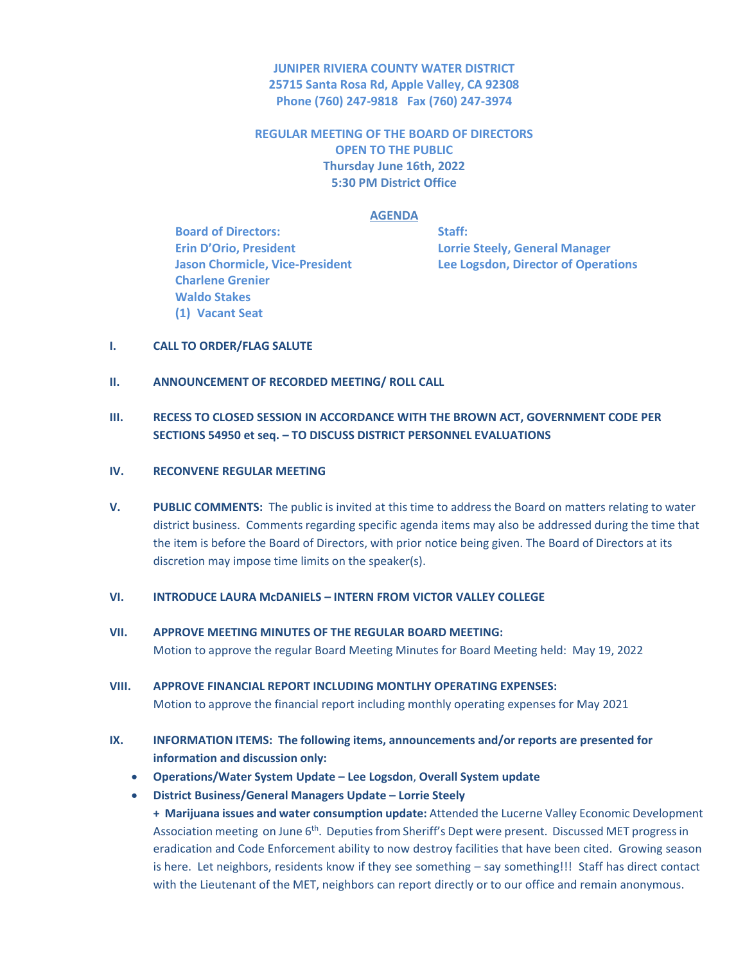**JUNIPER RIVIERA COUNTY WATER DISTRICT 25715 Santa Rosa Rd, Apple Valley, CA 92308 Phone (760) 247-9818 Fax (760) 247-3974**

**REGULAR MEETING OF THE BOARD OF DIRECTORS OPEN TO THE PUBLIC Thursday June 16th, 2022 5:30 PM District Office**

### **AGENDA**

**Board of Directors: Staff: Erin D'Orio, President Lorrie Steely, General Manager Charlene Grenier Waldo Stakes (1) Vacant Seat**

**Jason Chormicle, Vice-President Lee Logsdon, Director of Operations**

#### **I. CALL TO ORDER/FLAG SALUTE**

## **II. ANNOUNCEMENT OF RECORDED MEETING/ ROLL CALL**

# **III. RECESS TO CLOSED SESSION IN ACCORDANCE WITH THE BROWN ACT, GOVERNMENT CODE PER SECTIONS 54950 et seq. – TO DISCUSS DISTRICT PERSONNEL EVALUATIONS**

## **IV. RECONVENE REGULAR MEETING**

**V. PUBLIC COMMENTS:** The public is invited at this time to address the Board on matters relating to water district business. Comments regarding specific agenda items may also be addressed during the time that the item is before the Board of Directors, with prior notice being given. The Board of Directors at its discretion may impose time limits on the speaker(s).

## **VI. INTRODUCE LAURA McDANIELS – INTERN FROM VICTOR VALLEY COLLEGE**

**VII. APPROVE MEETING MINUTES OF THE REGULAR BOARD MEETING:** Motion to approve the regular Board Meeting Minutes for Board Meeting held: May 19, 2022

# **VIII. APPROVE FINANCIAL REPORT INCLUDING MONTLHY OPERATING EXPENSES:**

Motion to approve the financial report including monthly operating expenses for May 2021

- **IX. INFORMATION ITEMS: The following items, announcements and/or reports are presented for information and discussion only:**
	- **Operations/Water System Update – Lee Logsdon**, **Overall System update**
	- **District Business/General Managers Update – Lorrie Steely**

**+ Marijuana issues and water consumption update:** Attended the Lucerne Valley Economic Development Association meeting on June 6<sup>th</sup>. Deputies from Sheriff's Dept were present. Discussed MET progress in eradication and Code Enforcement ability to now destroy facilities that have been cited. Growing season is here. Let neighbors, residents know if they see something – say something!!! Staff has direct contact with the Lieutenant of the MET, neighbors can report directly or to our office and remain anonymous.